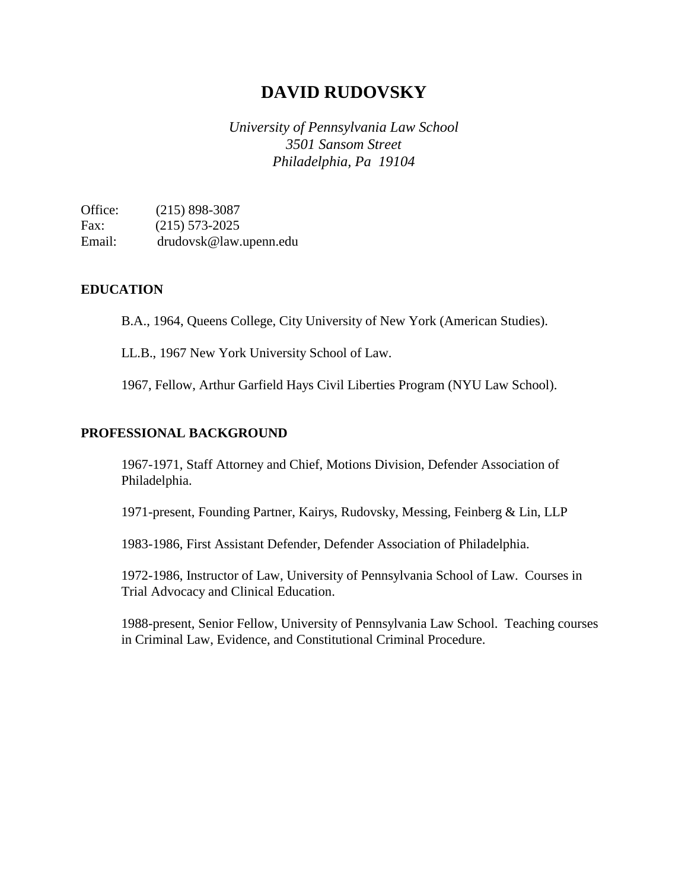# **DAVID RUDOVSKY**

*University of Pennsylvania Law School 3501 Sansom Street Philadelphia, Pa 19104*

Office: (215) 898-3087 Fax: (215) 573-2025 Email: drudovsk@law.upenn.edu

## **EDUCATION**

B.A., 1964, Queens College, City University of New York (American Studies).

LL.B., 1967 New York University School of Law.

1967, Fellow, Arthur Garfield Hays Civil Liberties Program (NYU Law School).

## **PROFESSIONAL BACKGROUND**

1967-1971, Staff Attorney and Chief, Motions Division, Defender Association of Philadelphia.

1971-present, Founding Partner, Kairys, Rudovsky, Messing, Feinberg & Lin, LLP

1983-1986, First Assistant Defender, Defender Association of Philadelphia.

1972-1986, Instructor of Law, University of Pennsylvania School of Law. Courses in Trial Advocacy and Clinical Education.

1988-present, Senior Fellow, University of Pennsylvania Law School. Teaching courses in Criminal Law, Evidence, and Constitutional Criminal Procedure.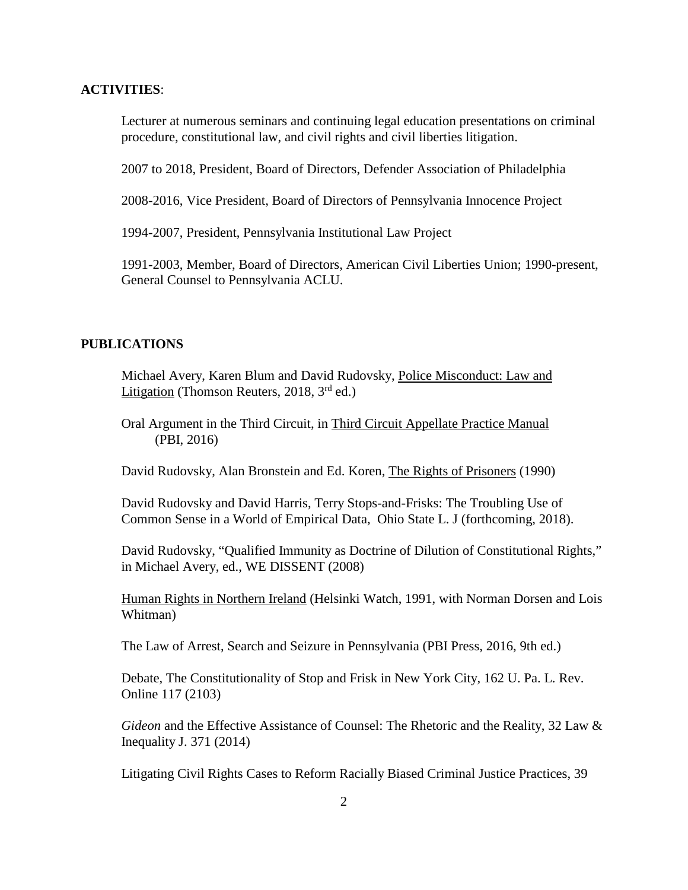#### **ACTIVITIES**:

Lecturer at numerous seminars and continuing legal education presentations on criminal procedure, constitutional law, and civil rights and civil liberties litigation.

2007 to 2018, President, Board of Directors, Defender Association of Philadelphia

2008-2016, Vice President, Board of Directors of Pennsylvania Innocence Project

1994-2007, President, Pennsylvania Institutional Law Project

1991-2003, Member, Board of Directors, American Civil Liberties Union; 1990-present, General Counsel to Pennsylvania ACLU.

#### **PUBLICATIONS**

Michael Avery, Karen Blum and David Rudovsky, Police Misconduct: Law and Litigation (Thomson Reuters, 2018,  $3<sup>rd</sup>$  ed.)

Oral Argument in the Third Circuit, in Third Circuit Appellate Practice Manual (PBI, 2016)

David Rudovsky, Alan Bronstein and Ed. Koren, The Rights of Prisoners (1990)

David Rudovsky and David Harris, Terry Stops-and-Frisks: The Troubling Use of Common Sense in a World of Empirical Data, Ohio State L. J (forthcoming, 2018).

David Rudovsky, "Qualified Immunity as Doctrine of Dilution of Constitutional Rights," in Michael Avery, ed., WE DISSENT (2008)

Human Rights in Northern Ireland (Helsinki Watch, 1991, with Norman Dorsen and Lois Whitman)

The Law of Arrest, Search and Seizure in Pennsylvania (PBI Press, 2016, 9th ed.)

Debate, The Constitutionality of Stop and Frisk in New York City, 162 U. Pa. L. Rev. Online 117 (2103)

*Gideon* and the Effective Assistance of Counsel: The Rhetoric and the Reality, 32 Law & Inequality J. 371 (2014)

Litigating Civil Rights Cases to Reform Racially Biased Criminal Justice Practices, 39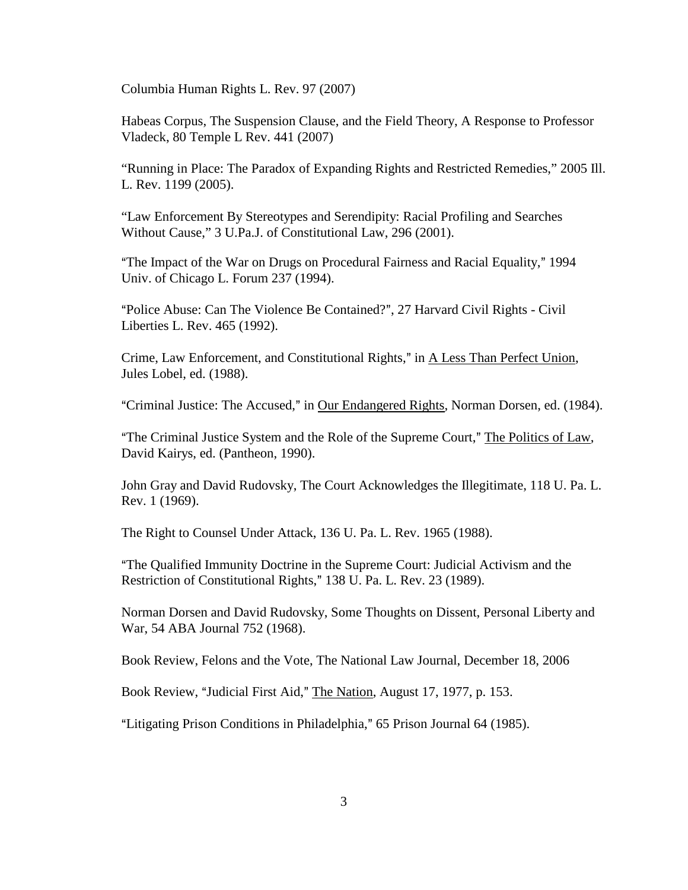Columbia Human Rights L. Rev. 97 (2007)

Habeas Corpus, The Suspension Clause, and the Field Theory, A Response to Professor Vladeck, 80 Temple L Rev. 441 (2007)

"Running in Place: The Paradox of Expanding Rights and Restricted Remedies," 2005 Ill. L. Rev. 1199 (2005).

"Law Enforcement By Stereotypes and Serendipity: Racial Profiling and Searches Without Cause," 3 U.Pa.J. of Constitutional Law, 296 (2001).

"The Impact of the War on Drugs on Procedural Fairness and Racial Equality," 1994 Univ. of Chicago L. Forum 237 (1994).

"Police Abuse: Can The Violence Be Contained?", 27 Harvard Civil Rights - Civil Liberties L. Rev. 465 (1992).

Crime, Law Enforcement, and Constitutional Rights," in A Less Than Perfect Union, Jules Lobel, ed. (1988).

"Criminal Justice: The Accused," in Our Endangered Rights, Norman Dorsen, ed. (1984).

"The Criminal Justice System and the Role of the Supreme Court," The Politics of Law, David Kairys, ed. (Pantheon, 1990).

John Gray and David Rudovsky, The Court Acknowledges the Illegitimate, 118 U. Pa. L. Rev. 1 (1969).

The Right to Counsel Under Attack, 136 U. Pa. L. Rev. 1965 (1988).

AThe Qualified Immunity Doctrine in the Supreme Court: Judicial Activism and the Restriction of Constitutional Rights," 138 U. Pa. L. Rev. 23 (1989).

Norman Dorsen and David Rudovsky, Some Thoughts on Dissent, Personal Liberty and War, 54 ABA Journal 752 (1968).

Book Review, Felons and the Vote, The National Law Journal, December 18, 2006

Book Review, "Judicial First Aid," The Nation, August 17, 1977, p. 153.

"Litigating Prison Conditions in Philadelphia," 65 Prison Journal 64 (1985).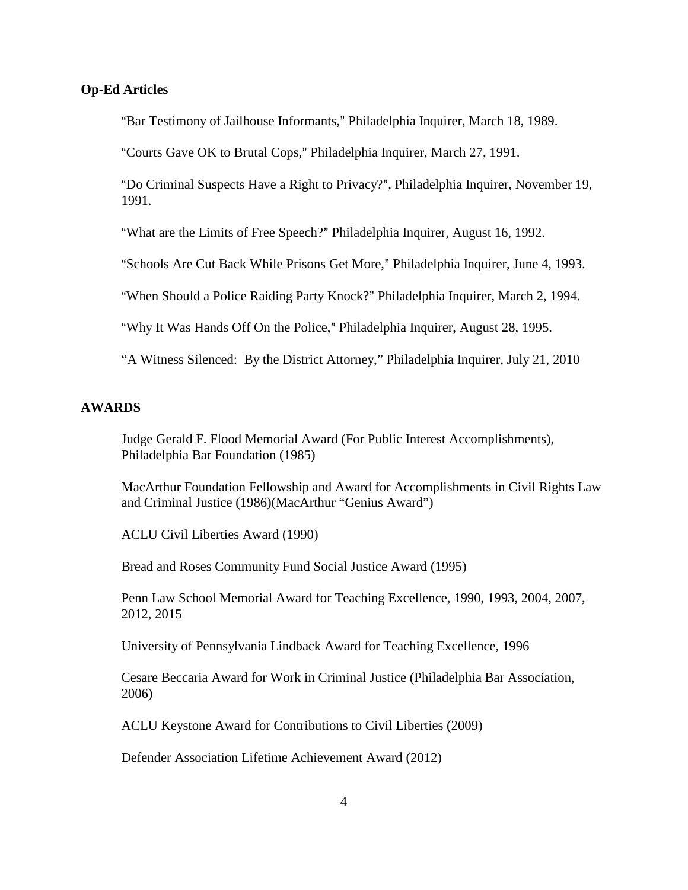### **Op-Ed Articles**

"Bar Testimony of Jailhouse Informants," Philadelphia Inquirer, March 18, 1989.

"Courts Gave OK to Brutal Cops," Philadelphia Inquirer, March 27, 1991.

"Do Criminal Suspects Have a Right to Privacy?", Philadelphia Inquirer, November 19, 1991.

"What are the Limits of Free Speech?" Philadelphia Inquirer, August 16, 1992.

"Schools Are Cut Back While Prisons Get More," Philadelphia Inquirer, June 4, 1993.

"When Should a Police Raiding Party Knock?" Philadelphia Inquirer, March 2, 1994.

"Why It Was Hands Off On the Police," Philadelphia Inquirer, August 28, 1995.

"A Witness Silenced: By the District Attorney," Philadelphia Inquirer, July 21, 2010

## **AWARDS**

Judge Gerald F. Flood Memorial Award (For Public Interest Accomplishments), Philadelphia Bar Foundation (1985)

MacArthur Foundation Fellowship and Award for Accomplishments in Civil Rights Law and Criminal Justice (1986)(MacArthur "Genius Award")

ACLU Civil Liberties Award (1990)

Bread and Roses Community Fund Social Justice Award (1995)

Penn Law School Memorial Award for Teaching Excellence, 1990, 1993, 2004, 2007, 2012, 2015

University of Pennsylvania Lindback Award for Teaching Excellence, 1996

Cesare Beccaria Award for Work in Criminal Justice (Philadelphia Bar Association, 2006)

ACLU Keystone Award for Contributions to Civil Liberties (2009)

Defender Association Lifetime Achievement Award (2012)